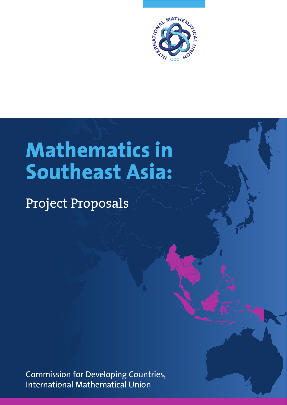

# **Mathematics in Southeast Asia:**

# Project Proposals

Commission for Developing Countries, International Mathematical Union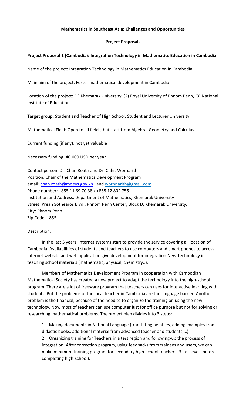# **Mathematics in Southeast Asia: Challenges and Opportunities**

# **Project Proposals**

# **Project Proposal 1 (Cambodia): Integration Technology in Mathematics Education in Cambodia**

Name of the project: Integration Technology in Mathematics Education in Cambodia

Main aim of the project: Foster mathematical development in Cambodia

Location of the project: (1) Khemarak University, (2) Royal University of Phnom Penh, (3) National Institute of Education

Target group: Student and Teacher of High School, Student and Lecturer University

Mathematical Field: Open to all fields, but start from Algebra, Geometry and Calculus.

Current funding (if any): not yet valuable

Necessary funding: 40.000 USD per year

Contact person: Dr. Chan Roath and Dr. Chhit Wornarith Position: Chair of the Mathematics Development Program email: [chan.roath@moeys.gov.kh](mailto:chan.roath@moeys.gov.kh) and wornnarith@gmail.com Phone number: +855 11 69 70 38 / +855 12 802 755 Institution and Address: Department of Mathematics, Khemarak University Street: Preah Sothearos Blvd., Phnom Penh Center, Block D, Khemarak University, City: Phnom Penh Zip Code: +855

# Description:

In the last 5 years, internet systems start to provide the service covering all location of Cambodia. Availabilities of students and teachers to use computers and smart phones to access internet website and web application give development for integration New Technology in teaching school materials (mathematic, physical, chemistry..).

Members of Mathematics Development Program in cooperation with Cambodian Mathematical Society has created a new project to adapt the technology into the high-school program. There are a lot of freeware program that teachers can uses for interactive learning with students. But the problems of the local teacher in Cambodia are the language barrier. Another problem is the financial, because of the need to to organize the training on using the new technology. Now most of teachers can use computer just for office purpose but not for solving or researching mathematical problems. The project plan divides into 3 steps:

1. Making documents in National Language (translating helpfiles, adding examples from didactic books, additional material from advanced teacher and students,…) 2. Organizing training for Teachers in a test region and following-up the process of integration. After correction program, using feedbacks from trainees and users, we can make minimum training program for secondary high-school teachers (3 last levels before completing high-school).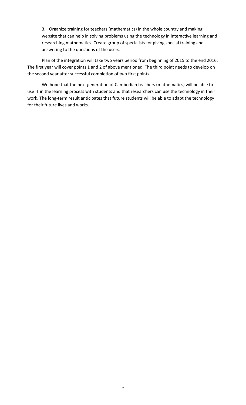3. Organize training for teachers (mathematics) in the whole country and making website that can help in solving problems using the technology in interactive learning and researching mathematics. Create group of specialists for giving special training and answering to the questions of the users.

Plan of the integration will take two years period from beginning of 2015 to the end 2016. The first year will cover points 1 and 2 of above mentioned. The third point needs to develop on the second year after successful completion of two first points.

We hope that the next generation of Cambodian teachers (mathematics) will be able to use IT in the learning process with students and that researchers can use the technology in their work. The long-term result anticipates that future students will be able to adapt the technology for their future lives and works.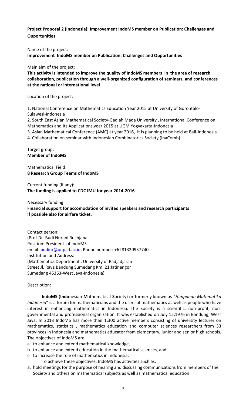**Project Proposal 2 (Indonesia): Improvement IndoMS member on Publication: Challenges and Opportunities**

Name of the project: **Improvement IndoMS member on Publication: Challenges and Opportunities**

Main aim of the project:

**This activity is intended to improve the quality of IndoMS members in the area of research collaboration, publication through a well-organized configuration of seminars, and conferences at the national or international level**

Location of the project:

1. National Conference on Mathematics Education Year 2015 at University of Gorontalo-Sulawesi-Indonesia

2. South East Asian Mathematical Society-Gadjah Mada University , International Conference on Mathematics and Its Applications,year 2015 at UGM Yogyakarta-Indonesia

3. Asian Mathematical Conference (AMC) at year 2016, it is planning to be held at Bali-Indonesia

4. Collaboration on seminar with Indonesian Combinatorics Society (InaComb)

Target group: **Member of IndoMS**

Mathematical Field: **8 Research Group Teams of IndoMS**

Current funding (if any): **The funding is applied to CDC IMU for year 2014-2016**

Necessary funding: **Financial support for accomodation of invited speakers and research participants If possible also for airfare ticket.**

Contact person: (Prof.Dr. Budi Nurani Ruchjana Position: President of IndoMS email: [budinr@unpad.ac.id,](mailto:budinr@unpad.ac.id) Phone number: +6281320937740 Institution and Address: (Mathematics Department , University of Padjadjaran Street Jl. Raya Bandung Sumedang Km. 21 Jatinangor Sumedang 45363-West Java-Indonesia)

Description:

**IndoMS** (**Indo**nesian **M**athematical **S**ociety) or formerly known as "*Himpunan Matematika Indonesia*" is a forum for mathematicians and the users of mathematics as well as people who have interest in enhancing mathematics in Indonesia. The Society is a scientific, non-profit, nongovernmental and professional organization. It was established on July 15,1976 in Bandung, West Java. In 2013 IndoMS has more than 1.300 active members consisting of university lecturer on mathematics, statistics , mathematics education and computer sciences researchers from 33 provinces in Indonesia and mathematics educator from elementary, junior and senior high schools. The objectives of IndoMS are:

a. to enhance and extend mathematical knowledge,

- b. to enhance and extend education in the mathematical sciences, and
- c. to increase the role of mathematics in Indonesia.
	- To achieve these objectives, IndoMS has activities such as:
- a. hold meetings for the purpose of hearing and discussing communications from members of the Society and others on mathematical subjects as well as mathematical education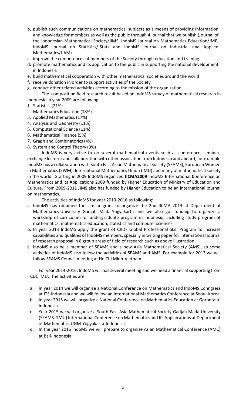- b. publish such communications on mathematical subjects as a means of providing information and knowledge for members as well as the public through 4 journal that we publish (Journal of the Indonesian Mathematical Society/JIMS, IndoMS Journal on Mathematics Education/JME, IndoMS Journal on Statistics/JStats and IndoMS Journal on Industrial and Applied Mathematics/JIAM)
- c. improve the competences of members of the Society through education and training
- d. promote mathematics and its application to the public in supporting the national development in Indonesia
- e. build mathematical cooperation with other mathematical societies around the world
- f. receive donation in order to support activities of the Society
- g. conduct other related activities according to the mission of the organization.

The composition field research result based on IndoMS survey of mathematical research in Indonesia in year 2009 are following:

- 1. Statistics (21%)
- 2. Mathematics Education (18%)
- 3. Applied Mathematics (17%)
- 4. Analysis and Geometry (11%)
- 5. Computational Science (11%)
- 6. Mathematical Finance (5%)
- 7. Graph and Combinatorics (4%)
- 8. System and Control Theory (3%)

IndoMS is very active to do several mathematical events such as conference, seminar, exchange lecturer and collaboration with other association from Indonesia and aboard, for example IndoMS has a collaboration with South East Asian Mathematical Society (SEAMS), European Women in Mathematics (EWM), International Mathematics Union (IMU) and many of mathematical society in the world. Starting in 2009 IndoMS organized **IICMA2009 I**ndoMS **I**nternational **C**onference on **M**athematics and its **A**pplications 2009 funded by Higher Education of Ministry of Education and Culture. From 2009-2011 JIMS also has funded by Higher Education to be an international journal on mathematics.

The activities of IndoMS for year 2013-2016 as following:

- a. IndoMS has obtained the similar grant to organize the 2nd IICMA 2013 at Department of Mathematics-University Gadjah Mada-Yogyakarta and we also got funding to organize a workshop of curriculum for undergraduate program in Indonesia, including study program of mathematics, mathematics education, statistics and computer sciences.
- b. In year 2013 IndoMS apply the grant of CRDF Global Professional Skill Program to increase capabilities and qualities of IndoMS members, specially in writing paper for international journal of research proposal in 8 group areas of field of research such as above illustration.
- c. IndoMS also be a member of SEAMS and a new Asia Mathematical Society (AMS), so some activities of IndoMS also follow the activities of SEAMS and AMS. For example for 2013 we will follow SEAMS Council meeting at Ho Chi Minh-Vietnam

For year 2014-2016, IndoMS will has several meeting and we need a financial supporting from CDC IMU. The activities are:

- a. In year 2014 we will organize a National Conference on Mathematics and IndoMS Conngress at ITS-Indonesia and we will follow an International Mathematics Conference at Seoul-Korea
- b. In year 2015 we will organize a National Conference on Mathematics Education at Gorontalo-Indonesia
- c. Year 2015 we will organize a South East Asia Mathematical Society-Gadjah Mada University (SEAMS-GMU) International Conference on Mathematics and Its Applaications at Department of Mathematics UGM-Yogyakarta-Indonesia
- d. In the year 2016 IndoMS we will prepare to organize Asian Mathematical Conference (AMC) at Bali-Indonesia.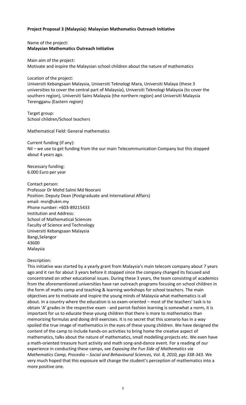## **Project Proposal 3 (Malaysia): Malaysian Mathematics Outreach Initiative**

Name of the project: **Malaysian Mathematics Outreach Initiative**

Main aim of the project: Motivate and inspire the Malaysian school children about the nature of mathematics

Location of the project:

Universiti Kebangsaan Malaysia, Universiti Teknologi Mara, Universiti Malaya (these 3 universities to cover the central part of Malaysia), Universiti Teknologi Malaysia (to cover the southern region), Universiti Sains Malaysia (the northern region) and Universiti Malaysia Terengganu (Eastern region)

Target group: School children/School teachers

Mathematical Field: General mathematics

Current funding (if any): Nil – we use to get funding from the our main Telecommunication Company but this stopped about 4 years ago.

Necessary funding: 6.000 Euro per year

Contact person: Professor Dr Mohd Salmi Md Noorani Position: Deputy Dean (Postgraduate and International Affairs) email: msn@ukm.my Phone number: +603-89215433 Institution and Address: School of Mathematical Sciences Faculty of Science and Technology Universiti Kebangsaan Malaysia Bangi,Selangor 43600 Malaysia

Description:

This initiative was started by a yearly grant from Malaysia's main telecom company about 7 years ago and it ran for about 3 years before it stopped since the company changed its focused and concentrated on other educational issues. During these 3 years, the team consisting of academics from the aforementioned universities have ran outreach programs focusing on school children in the form of maths camp and teaching & learning workshops for school teachers. The main objectives are to motivate and inspire the young minds of Malaysia what mathematics is all about. In a country where the education is so exam-oriented – most of the teachers' task is to obtain 'A' grades in the respective exam - and parrot-fashion learning is somewhat a norm, it is important for us to educate these young children that there is more to mathematics than memorizing formulas and doing drill exercises. It is no secret that this scenario has in a way spoiled the true image of mathematics in the eyes of these young children. We have designed the content of the camp to include hands-on activities to bring home the creative aspect of mathematics, talks about the nature of mathematics, small modelling projects etc. We even have a math-oriented treasure hunt activity and math song-and-dance event. For a reading of our experience in conducting these camps, see *Exposing the Fun Side of Mathematics via Mathematics Camp, Procedia – Social and Behavioural Sciences, Vol. 8, 2010, pgs 338-343*. We very much hoped that this exposure will change the student's perception of mathematics into a more positive one.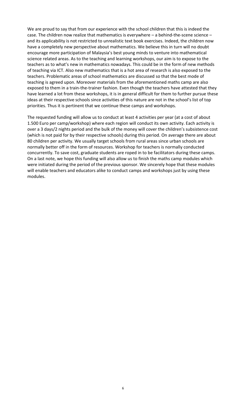We are proud to say that from our experience with the school children that this is indeed the case. The children now realize that mathematics is everywhere – a behind-the-scene science – and its applicability is not restricted to unrealistic text book exercises. Indeed, the children now have a completely new perspective about mathematics. We believe this in turn will no doubt encourage more participation of Malaysia's best young minds to venture into mathematical science related areas. As to the teaching and learning workshops, our aim is to expose to the teachers as to what's new in mathematics nowadays. This could be in the form of new methods of teaching via ICT. Also new mathematics that is a hot area of research is also exposed to the teachers. Problematic areas of school mathematics are discussed so that the best mode of teaching is agreed upon. Moreover materials from the aforementioned maths camp are also exposed to them in a train-the-trainer fashion. Even though the teachers have attested that they have learned a lot from these workshops, it is in general difficult for them to further pursue these ideas at their respective schools since activities of this nature are not in the school's list of top priorities. Thus it is pertinent that we continue these camps and workshops.

The requested funding will allow us to conduct at least 4 activities per year (at a cost of about 1.500 Euro per camp/workshop) where each region will conduct its own activity. Each activity is over a 3 days/2 nights period and the bulk of the money will cover the children's subsistence cost (which is not paid for by their respective schools) during this period. On average there are about 80 children per activity. We usually target schools from rural areas since urban schools are normally better off in the form of resources. Workshop for teachers is normally conducted concurrently. To save cost, graduate students are roped in to be facilitators during these camps. On a last note, we hope this funding will also allow us to finish the maths camp modules which were initiated during the period of the previous sponsor. We sincerely hope that these modules will enable teachers and educators alike to conduct camps and workshops just by using these modules.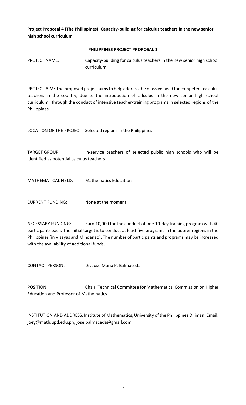**Project Proposal 4 (The Philippines): Capacity-building for calculus teachers in the new senior high school curriculum** 

# **PHILIPPINES PROJECT PROPOSAL 1**

| <b>PROJECT NAME:</b> | Capacity-building for calculus teachers in the new senior high school |
|----------------------|-----------------------------------------------------------------------|
|                      | curriculum                                                            |

PROJECT AIM: The proposed project aims to help address the massive need for competent calculus teachers in the country, due to the introduction of calculus in the new senior high school curriculum, through the conduct of intensive teacher-training programs in selected regions of the Philippines.

LOCATION OF THE PROJECT: Selected regions in the Philippines

TARGET GROUP: In-service teachers of selected public high schools who will be identified as potential calculus teachers

MATHEMATICAL FIELD: Mathematics Education

CURRENT FUNDING: None at the moment.

NECESSARY FUNDING: Euro 10,000 for the conduct of one 10-day training program with 40 participants each. The initial target is to conduct at least five programs in the poorer regions in the Philippines (in Visayas and Mindanao). The number of participants and programs may be increased with the availability of additional funds.

CONTACT PERSON: Dr. Jose Maria P. Balmaceda

POSITION: Chair, Technical Committee for Mathematics, Commission on Higher Education and Professor of Mathematics

INSTITUTION AND ADDRESS: Institute of Mathematics, University of the Philippines Diliman. Email: joey@math.upd.edu.ph, jose.balmaceda@gmail.com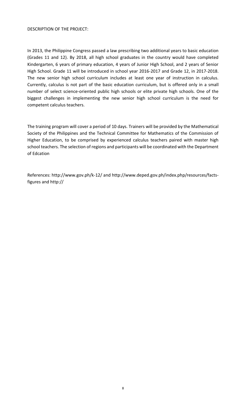In 2013, the Philippine Congress passed a law prescribing two additional years to basic education (Grades 11 and 12). By 2018, all high school graduates in the country would have completed Kindergarten, 6 years of primary education, 4 years of Junior High School, and 2 years of Senior High School. Grade 11 will be introduced in school year 2016-2017 and Grade 12, in 2017-2018. The new senior high school curriculum includes at least one year of instruction in calculus. Currently, calculus is not part of the basic education curriculum, but is offered only in a small number of select science-oriented public high schools or elite private high schools. One of the biggest challenges in implementing the new senior high school curriculum is the need for competent calculus teachers.

The training program will cover a period of 10 days. Trainers will be provided by the Mathematical Society of the Philippines and the Technical Committee for Mathematics of the Commission of Higher Education, to be comprised by experienced calculus teachers paired with master high school teachers. The selection of regions and participants will be coordinated with the Department of Edcation

References: http://www.gov.ph/k-12/ and http://www.deped.gov.ph/index.php/resources/factsfigures and http://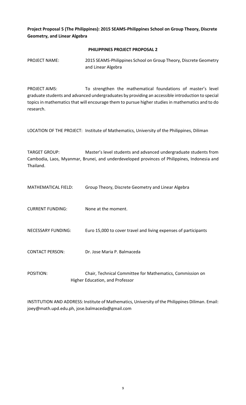**Project Proposal 5 (The Philippines): 2015 SEAMS-Philippines School on Group Theory, Discrete Geometry, and Linear Algebra**

# **PHILIPPINES PROJECT PROPOSAL 2**

| <b>PROJECT NAME:</b> | 2015 SEAMS-Philippines School on Group Theory, Discrete Geometry |
|----------------------|------------------------------------------------------------------|
|                      | and Linear Algebra                                               |

PROJECT AIMS: To strengthen the mathematical foundations of master's level graduate students and advanced undergraduates by providing an accessible introduction to special topics in mathematics that will encourage them to pursue higher studies in mathematics and to do research.

LOCATION OF THE PROJECT: Institute of Mathematics, University of the Philippines, Diliman

TARGET GROUP: Master's level students and advanced undergraduate students from Cambodia, Laos, Myanmar, Brunei, and underdeveloped provinces of Philippines, Indonesia and Thailand.

| <b>MATHEMATICAL FIELD:</b> | Group Theory, Discrete Geometry and Linear Algebra |
|----------------------------|----------------------------------------------------|
| <b>CURRENT FUNDING:</b>    | None at the moment.                                |

- NECESSARY FUNDING: Euro 15,000 to cover travel and living expenses of participants
- CONTACT PERSON: Dr. Jose Maria P. Balmaceda
- POSITION: Chair, Technical Committee for Mathematics, Commission on Higher Education, and Professor

INSTITUTION AND ADDRESS: Institute of Mathematics, University of the Philippines Diliman. Email: joey@math.upd.edu.ph, jose.balmaceda@gmail.com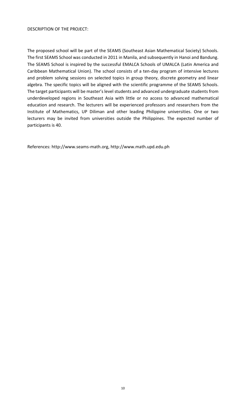#### DESCRIPTION OF THE PROJECT:

The proposed school will be part of the SEAMS (Southeast Asian Mathematical Society) Schools. The first SEAMS School was conducted in 2011 in Manila, and subsequently in Hanoi and Bandung. The SEAMS School is inspired by the successful EMALCA Schools of UMALCA (Latin America and Caribbean Mathematical Union). The school consists of a ten-day program of intensive lectures and problem solving sessions on selected topics in group theory, discrete geometry and linear algebra. The specific topics will be aligned with the scientific programme of the SEAMS Schools. The target participants will be master's level students and advanced undergraduate students from underdeveloped regions in Southeast Asia with little or no access to advanced mathematical education and research. The lecturers will be experienced professors and researchers from the Institute of Mathematics, UP Diliman and other leading Philippine universities. One or two lecturers may be invited from universities outside the Philippines. The expected number of participants is 40.

References: http://www.seams-math.org, http://www.math.upd.edu.ph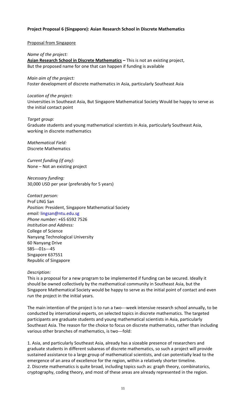# **Project Proposal 6 (Singapore): Asian Research School in Discrete Mathematics**

Proposal from Singapore

*Name of the project:*  **Asian Research School in Discrete Mathematics –** This is not an existing project, But the proposed name for one that can happen if funding is available

*Main aim of the project:* Foster development of discrete mathematics in Asia, particularly Southeast Asia

*Location of the project:* Universities in Southeast Asia, But Singapore Mathematical Society Would be happy to serve as the initial contact point

*Target group:* Graduate students and young mathematical scientists in Asia, particularly Southeast Asia, working in discrete mathematics

*Mathematical Field:* Discrete Mathematics

*Current funding (if any):*  None – Not an existing project

*Necessary funding:* 30,000 USD per year (preferably for 5 years)

*Contact person:* Prof LING San *Position:* President, Singapore Mathematical Society *email:* lingsan@ntu.edu.sg *Phone number:* +65 6592 7526 *Institution and Address:* College of Science Nanyang Technological University 60 Nanyang Drive SBS--‐01s--‐45 Singapore 637551 Republic of Singapore

#### *Description:*

This is a proposal for a new program to be implemented if funding can be secured. Ideally it should be owned collectively by the mathematical community in Southeast Asia, but the Singapore Mathematical Society would be happy to serve as the initial point of contact and even run the project in the initial years.

The main intention of the project is to run a two---week intensive research school annually, to be conducted by international experts, on selected topics in discrete mathematics. The targeted participants are graduate students and young mathematical scientists in Asia, particularly Southeast Asia. The reason for the choice to focus on discrete mathematics, rather than including various other branches of mathematics, is two--‐fold:

1. Asia, and particularly Southeast Asia, already has a sizeable presence of researchers and graduate students in different subareas of discrete mathematics, so such a project will provide sustained assistance to a large group of mathematical scientists, and can potentially lead to the emergence of an area of excellence for the region, within a relatively shorter timeline. 2. Discrete mathematics is quite broad, including topics such as: graph theory, combinatorics, cryptography, coding theory, and most of these areas are already represented in the region.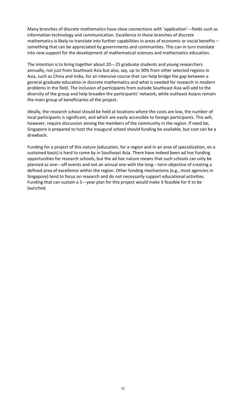Many branches of discrete mathematics have close connections with 'application'---fields such as information technology and communication. Excellence in these branches of discrete mathematics is likely to translate into further capabilities in areas of economic or social benefits – something that can be appreciated by governments and communities. This can in turn translate into new support for the development of mathematical sciences and mathematics education.

The intention is to bring together about 20--‐25 graduate students and young researchers annually, not just from Southeast Asia but also, say, up to 30% from other selected regions in Asia, such as China and India, for an intensive course that can help bridge the gap between a general graduate education in discrete mathematics and what is needed for research in modern problems in the field. The inclusion of participants from outside Southeast Asia will add to the diversity of the group and help broaden the participants' network, while outheast Asians remain the main group of beneficiaries of the project.

Ideally, the research school should be held at locations where the costs are low, the number of local participants is significant, and which are easily accessible to foreign participants. This will, however, require discussion among the members of the community in the region. If need be, Singapore is prepared to host the inaugural school should funding be available, but cost can be a drawback.

Funding for a project of this nature (education, for a region and in an area of specialization, on a sustained basis) is hard to come by in Southeast Asia. There have indeed been ad hoc funding opportunities for research schools, but the ad hoc nature means that such schools can only be planned as one---off events and not an annual one with the long---term objective of creating a defined area of excellence within the region. Other funding mechanisms (e.g., most agencies in Singapore) tend to focus on research and do not necessarily support educational activities. Funding that can sustain a 5--‐year plan for this project would make it feasible for it to be launched.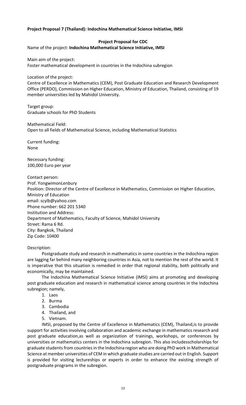# **Project Proposal 7 (Thailand): Indochina Mathematical Science Initiative, IMSI**

#### **Project Proposal for CDC**

Name of the project: **Indochina Mathematical Science Initiative, IMSI**

Main aim of the project:

Foster mathematical development in countries in the Indochina subregion

Location of the project:

Centre of Excellence in Mathematics (CEM), Post Graduate Education and Research Development Office (PERDO), Commission on Higher Education, Ministry of Education, Thailand, consisting of 19 member universities led by Mahidol University.

Target group: Graduate schools for PhD Students

Mathematical Field: Open to all fields of Mathematical Science, including Mathematical Statistics

Current funding: None

Necessary funding: 100,000 Euro per year

Contact person:

Prof. YongwimonLenbury Position: Director of the Centre of Excellence in Mathematics, Commission on Higher Education, Ministry of Education email: scylb@yahoo.com Phone number: 662 201 5340 Institution and Address: Department of Mathematics, Faculty of Science, Mahidol University Street: Rama 6 Rd. City: Bangkok, Thailand Zip Code: 10400

# Description:

Postgraduate study and research in mathematics in some countries in the Indochina region are lagging far behind many neighboring countries in Asia, not to mention the rest of the world. It is imperative that this situation is remedied in order that regional stability, both politically and economically, may be maintained.

The Indochina Mathematical Science Initiative (IMSI) aims at promoting and developing post graduate education and research in mathematical science among countries in the Indochina subregion; namely,

- 1. Laos
- 2. Burma
- 3. Cambodia
- 4. Thailand, and
- 5. Vietnam.

IMSI, proposed by the Centre of Excellence in Mathematics (CEM), Thailand,is to provide support for activities involving collaboration and academic exchange in mathematics research and post graduate education,as well as organization of trainings, workshops, or conferences by universities or mathematics centers in the Indochina subregion. This also includesscholarships for graduate students from countries in the Indochina region who are doing PhD work in Mathematical Science at member universities of CEM in which graduate studies are carried out in English. Support is provided for visiting lectureships or experts in order to enhance the existing strength of postgraduate programs in the subregion.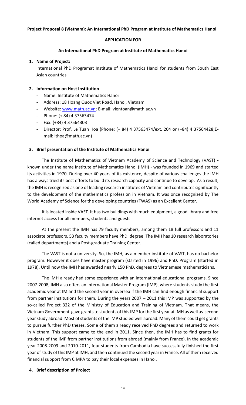# **Project Proposal 8 (Vietnam): An International PhD Program at Institute of Mathematics Hanoi**

#### **APPLICATION FOR**

#### **An International PhD Program at Institute of Mathematics Hanoi**

#### **1. Name of Project:**

International PhD Programat Institute of Mathematics Hanoi for students from South East Asian countries

#### **2. Information on Host Institution**

- Name: Institute of Mathematics Hanoi
- Address: 18 Hoang Quoc Viet Road, Hanoi, Vietnam
- Website: [www.math.ac.vn;](http://www.math.ac.vn/) E-mail: vientoan@math.ac.vn
- Phone: (+ 84) 4 37563474
- Fax: (+84) 4 37564303
- Director: Prof. Le Tuan Hoa (Phone: (+ 84) 4 37563474/ext. 204 or (+84) 4 37564428;Email: lthoa@math.ac.vn)

#### **3. Brief presentation of the Institute of Mathematics Hanoi**

The Institute of Mathematics of Vietnam Academy of Science and Technology (VAST) known under the name Institute of Mathematics Hanoi (IMH) - was founded in 1969 and started its activities in 1970. During over 40 years of its existence, despite of various challenges the IMH has always tried its best efforts to build its research capacity and continue to develop. As a result, the IMH is recognized as one of leading research institutes of Vietnam and contributes significantly to the development of the mathematics profession in Vietnam. It was once recognized by The World Academy of Science for the developing countries (TWAS) as an Excellent Center.

It is located inside VAST. It has two buildings with much equipment, a good library and free internet access for all members, students and guests.

At the present the IMH has 79 faculty members, among them 18 full professors and 11 associate professors. 53 faculty members have PhD. degree. The IMH has 10 research laboratories (called departments) and a Post-graduate Training Center.

The VAST is not a university. So, the IMH, as a member institute of VAST, has no bachelor program. However it does have master program (started in 1996) and PhD. Program (started in 1978). Until now the IMH has awarded nearly 150 PhD. degrees to Vietnamese mathematicians.

The IMH already had some experience with an international educational programs. Since 2007-2008, IMH also offers an International Master Program (IMP), where students study the first academic year at IM and the second year in oversea if the IMH can find enough financial support from partner institutions for them. During the years 2007 – 2011 this IMP was supported by the so-called Project 322 of the Ministry of Education and Training of Vietnam. That means, the Vietnam Government gave grants to students of this IMP for the first year at IMH as well as second year study abroad. Most of students of the IMP studied well abroad. Many of them could get grants to pursue further PhD theses. Some of them already received PhD degrees and returned to work in Vietnam. This support came to the end in 2011. Since then, the IMH has to find grants for students of the IMP from partner institutions from abroad (mainly from France). In the academic year 2008-2009 and 2010-2011, four students from Cambodia have successfully finished the first year of study of this IMP at IMH, and then continued the second year in France. All of them received financial support from CIMPA to pay their local expenses in Hanoi.

#### **4. Brief description of Project**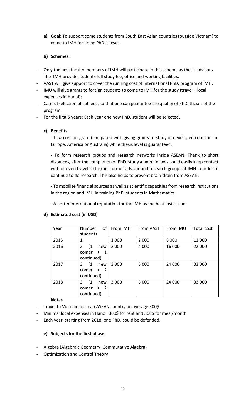**a) Goal**: To support some students from South East Asian countries (outside Vietnam) to come to IMH for doing PhD. theses.

# **b) Schemes:**

- Only the best faculty members of IMH will participate in this scheme as thesis advisors. The IMH provide students full study fee, office and working facilities.
- VAST will give support to cover the running cost of International PhD. program of IMH;
- IMU will give grants to foreign students to come to IMH for the study (travel + local expenses in Hanoi);
- Careful selection of subjects so that one can guarantee the quality of PhD. theses of the program.
- For the first 5 years: Each year one new PhD. student will be selected.

# **c) Benefits**:

- Low cost program (compared with giving grants to study in developed countries in Europe, America or Australia) while thesis level is guaranteed.

- To form research groups and research networks inside ASEAN: Thank to short distances, after the completion of PhD. study alumni fellows could easily keep contact with or even travel to his/her former advisor and research groups at IMH in order to continue to do research. This also helps to prevent brain-drain from ASEAN.

- To mobilize financial sources as well as scientific capacities from research institutions in the region and IMU in training PhD. students in Mathematics.

- A better international reputation for the IMH as the host institution.

| Year | of<br>Number<br>students     | From IMH | From VAST | From IMU | Total cost |
|------|------------------------------|----------|-----------|----------|------------|
|      |                              |          |           |          |            |
| 2015 | 1                            | 1 000    | 2 0 0 0   | 8 0 0 0  | 11 000     |
| 2016 | $\overline{2}$<br>(1)<br>new | 2 0 0 0  | 4 0 0 0   | 16 000   | 22 000     |
|      | $+$ 1<br>comer               |          |           |          |            |
|      | continued)                   |          |           |          |            |
| 2017 | 3<br>(1)<br>new              | 3 0 0 0  | 6 0 0 0   | 24 000   | 33 000     |
|      | $+2$<br>comer                |          |           |          |            |
|      | continued)                   |          |           |          |            |
| 2018 | 3<br>(1)<br>new              | 3 0 0 0  | 6 0 0 0   | 24 000   | 33 000     |
|      | $+2$<br>comer                |          |           |          |            |
|      | continued)                   |          |           |          |            |

# **d) Estimated cost (in USD)**

# **Notes**

- Travel to Vietnam from an ASEAN country: in average 300\$
- Minimal local expenses in Hanoi: 300\$ for rent and 300\$ for meal/month
- Each year, starting from 2018, one PhD. could be defended.

# **e) Subjects for the first phase**

- Algebra (Algebraic Geometry, Commutative Algebra)
- Optimization and Control Theory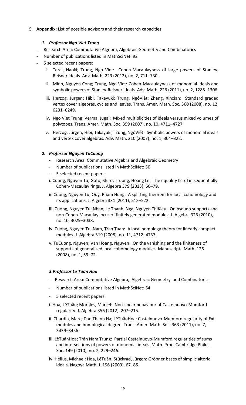5. **Appendix**: List of possible advisors and their research capacities

# *1. Professor Ngo Viet Trung*

- Research Area: Commutative Algebra, Algebraic Geometry and Combinatorics
- Number of publications listed in MathSciNet: 92
- 5 selected recent papers:
	- i. Terai, Naoki; Trung, Ngo Viet: Cohen-Macaulayness of large powers of Stanley-Reisner ideals. Adv. Math. 229 (2012), no. 2, 711–730.
	- ii. Minh, Nguyen Cong; Trung, Ngo Viet: Cohen-Macaulayness of monomial ideals and symbolic powers of Stanley-Reisner ideals. Adv. Math. 226 (2011), no. 2, 1285–1306.
	- iii. Herzog, Jürgen; Hibi, Takayuki; Trung, NgôViêt; Zheng, Xinxian: Standard graded vertex cover algebras, cycles and leaves. Trans. Amer. Math. Soc. 360 (2008), no. 12, 6231–6249.
	- iv. Ngo Viet Trung; Verma, Jugal: Mixed multiplicities of ideals versus mixed volumes of polytopes. Trans. Amer. Math. Soc. 359 (2007), no. 10, 4711–4727.
	- v. Herzog, Jürgen; Hibi, Takayuki; Trung, NgôViêt: Symbolic powers of monomial ideals and vertex cover algebras. Adv. Math. 210 (2007), no. 1, 304–322.

# *2. Professor Nguyen TuCuong*

- Research Area: Commutative Algebra and Algebraic Geometry
- Number of publications listed in MathSciNet: 50
- 5 selected recent papers:
- i. Cuong, Nguyen Tu; Goto, Shiro; Truong, Hoang Le: The equality I2=qI in sequentially Cohen-Macaulay rings. J. Algebra 379 (2013), 50–79.
- ii. Cuong, Nguyen Tu; Quy, Pham Hung: A splitting theorem for local cohomology and its applications. J. Algebra 331 (2011), 512–522.
- iii. Cuong, Nguyen Tu; Nhan, Le Thanh; Nga, Nguyen ThiKieu: On pseudo supports and non-Cohen-Macaulay locus of finitely generated modules. J. Algebra 323 (2010), no. 10, 3029–3038.
- iv. Cuong, Nguyen Tu; Nam, Tran Tuan: A local homology theory for linearly compact modules. J. Algebra 319 (2008), no. 11, 4712–4737.
- v. TuCuong, Nguyen; Van Hoang, Nguyen: On the vanishing and the finiteness of supports of generalized local cohomology modules. Manuscripta Math. 126 (2008), no. 1, 59–72.

# *3.Professor Le Tuan Hoa*

- Research Area: Commutative Algebra, Algebraic Geometry and Combinatorics
- Number of publications listed in MathSciNet: 54
- 5 selected recent papers:
- i. Hoa, LêTuân; Morales, Marcel: Non-linear behaviour of Castelnuovo-Mumford regularity. J. Algebra 356 (2012), 207–215.
- ii. Chardin, Marc; Dao Thanh Ha; LêTuânHoa: Castelnuovo-Mumford regularity of Ext modules and homological degree. Trans. Amer. Math. Soc. 363 (2011), no. 7, 3439–3456.
- iii. LêTuânHoa; Trân Nam Trung: Partial Castelnuovo-Mumford regularities of sums and intersections of powers of monomial ideals. Math. Proc. Cambridge Philos. Soc. 149 (2010), no. 2, 229–246.
- iv. Hellus, Michael; Hoa, LêTuân; Stückrad, Jürgen: Gröbner bases of simplicialtoric ideals. Nagoya Math. J. 196 (2009), 67–85.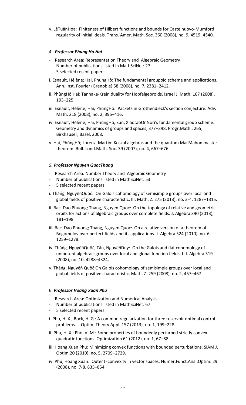v. LêTuânHoa: Finiteness of Hilbert functions and bounds for Castelnuovo-Mumford regularity of initial ideals. Trans. Amer. Math. Soc. 360 (2008), no. 9, 4519–4540.

## 4. *Professor Phung Ho Hai*

- Research Area: Representation Theory and Algebraic Geometry
- Number of publications listed in MathSciNet: 27
- 5 selected recent papers:
- i. Esnault, Hélène; Hai, PhùngHô: The fundamental groupoid scheme and applications. Ann. Inst. Fourier (Grenoble) 58 (2008), no. 7, 2381–2412.
- ii. PhùngHô Hai: Tannaka-Krein duality for Hopfalgebroids. Israel J. Math. 167 (2008), 193–225.
- iii. Esnault, Hélène; Hai, PhùngHô: Packets in Grothendieck's section conjecture. Adv. Math. 218 (2008), no. 2, 395–416.
- iv. Esnault, Hélène; Hai, PhùngHô; Sun, XiaotaoOnNori's fundamental group scheme. Geometry and dynamics of groups and spaces, 377–398, Progr.Math., 265, Birkhäuser, Basel, 2008.
- v. Hai, PhùngHô; Lorenz, Martin: Koszul algebras and the quantum MacMahon master theorem. Bull. Lond.Math. Soc. 39 (2007), no. 4, 667–676.

#### *5. Professor Nguyen QuocThang*

- Research Area: Number Theory and Algebraic Geometry
- Number of publications listed in MathSciNet: 53
- 5 selected recent papers:
- i. Thǎńg, NguyêñQuôć: On Galois cohomology of semisimple groups over local and global fields of positive characteristic, III. Math. Z. 275 (2013), no. 3-4, 1287–1315.
- ii. Bac, Dao Phuong; Thang, Nguyen Quoc: On the topology of relative and geometric orbits for actions of algebraic groups over complete fields. J. Algebra 390 (2013), 181–198.
- iii. Bac, Dao Phuong; Thang, Nguyen Quoc: On a relative version of a theorem of Bogomolov over perfect fields and its applications. J. Algebra 324 (2010), no. 6, 1259–1278.
- iv. Thǎńg, NguyêñQuôć; Tân, NguyêñDuy: On the Galois and flat cohomology of unipotent algebraic groups over local and global function fields. I. J. Algebra 319 (2008), no. 10, 4288–4324.
- v. Thǎńg, Nguyêñ Quôć On Galois cohomology of semisimple groups over local and global fields of positive characteristic. Math. Z. 259 (2008), no. 2, 457–467.

#### 6. *Professor Hoang Xuan Phu*

- Research Area: Optimization and Numerical Analysis
- Number of publications listed in MathSciNet: 67
- 5 selected recent papers:
- i. Phu, H. X.; Bock, H. G.: A common regularization for three reservoir optimal control problems. J. Optim. Theory Appl. 157 (2013), no. 1, 199–228.
- ii. Phu, H. X.; Pho, V. M.: Some properties of boundedly perturbed strictly convex quadratic functions. Optimization 61 (2012), no. 1, 67–88.
- iii. Hoang Xuan Phu: Minimizing convex functions with bounded perturbations. SIAM J. Optim.20 (2010), no. 5, 2709–2729.
- iv. Phu, Hoang Xuan: Outer Γ-convexity in vector spaces. Numer.Funct.Anal.Optim. 29 (2008), no. 7-8, 835–854.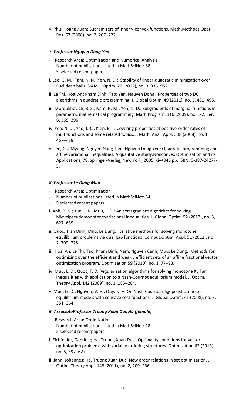v. Phu, Hoang Xuan: Supremizers of inner γ-convex functions. Math.Methods Oper. Res. 67 (2008), no. 2, 207–222.

# 7. *Professor Nguyen Dong Yen*

- Research Area: Optimization and Numerical Analysis
- Number of publications listed in MathSciNet: 88
- 5 selected recent papers:
- i. Lee, G. M.; Tam, N. N.; Yen, N. D.: Stability of linear-quadratic minimization over Euclidean balls. SIAM J. Optim. 22 (2012), no. 3, 936–952.
- ii. Le Thi, Hoai An; Pham Dinh, Tao; Yen, Nguyen Dong: Properties of two DC algorithms in quadratic programming. J. Global Optim. 49 (2011), no. 3, 481–495.
- iii. Mordukhovich, B. S.; Nam, N. M.; Yen, N. D.: Subgradients of marginal functions in parametric mathematical programming. Math.Program. 116 (2009), no. 1-2, Ser. B, 369–396.
- iv. Yen, N. D.; Yao, J.-C.; Kien, B. T. Covering properties at positive-order rates of multifunctions and some related topics. J. Math. Anal. Appl. 338 (2008), no. 1, 467–478.
- v. Lee, GueMyung; Nguyen Nang Tam; Nguyen Dong Yen: Quadratic programming and affine variational inequalities. A qualitative study.Nonconvex Optimization and its Applications, 78. Springer-Verlag, New York, 2005. xiv+345 pp. ISBN: 0-387-24277- 5.

#### *8*. *Professor Le Dung Muu*

- Research Area: Optimization
- Number of publications listed in MathSciNet: 64
- 5 selected recent papers:
- i. Anh, P. N.; Kim, J. K.; Muu, L. D.: An extragradient algorithm for solving bilevelpseudomonotonevariational inequalities. J. Global Optim. 52 (2012), no. 3, 627–639.
- ii. Quoc, Tran Dinh; Muu, Le Dung: Iterative methods for solving monotone equilibrium problems via dual gap functions. Comput.Optim. Appl. 51 (2012), no. 2, 709–728.
- iii. Hoai An, Le Thi; Tao, Pham Dinh; Nam, Nguyen Canh; Muu, Le Dung: Methods for optimizing over the efficient and weakly efficient sets of an affine fractional vector optimization program. Optimization 59 (2010), no. 1, 77–93.
- iv. Muu, L. D.; Quoc, T. D. Regularization algorithms for solving monotone Ky Fan inequalities with application to a Nash-Cournot equilibrium model. J. Optim. Theory Appl. 142 (2009), no. 1, 185–204.
- v. Muu, Le D.; Nguyen, V. H.; Quy, N. V. On Nash-Cournot oligopolistic market equilibrium models with concave cost functions. J. Global Optim. 41 (2008), no. 3, 351–364.

#### *9. AssociateProfessor Truong Xuan Duc Ha (female)*

- Research Area: Optimization
- Number of publications listed in MathSciNet: 28
- 5 selected recent papers:
- i. Eichfelder, Gabriele; Ha, Truong Xuan Duc: Optimality conditions for vector optimization problems with variable ordering structures. Optimization 62 (2013), no. 5, 597–627.
- ii. Jahn, Johannes; Ha, Truong Xuan Duc: New order relations in set optimization. J. Optim. Theory Appl. 148 (2011), no. 2, 209–236.